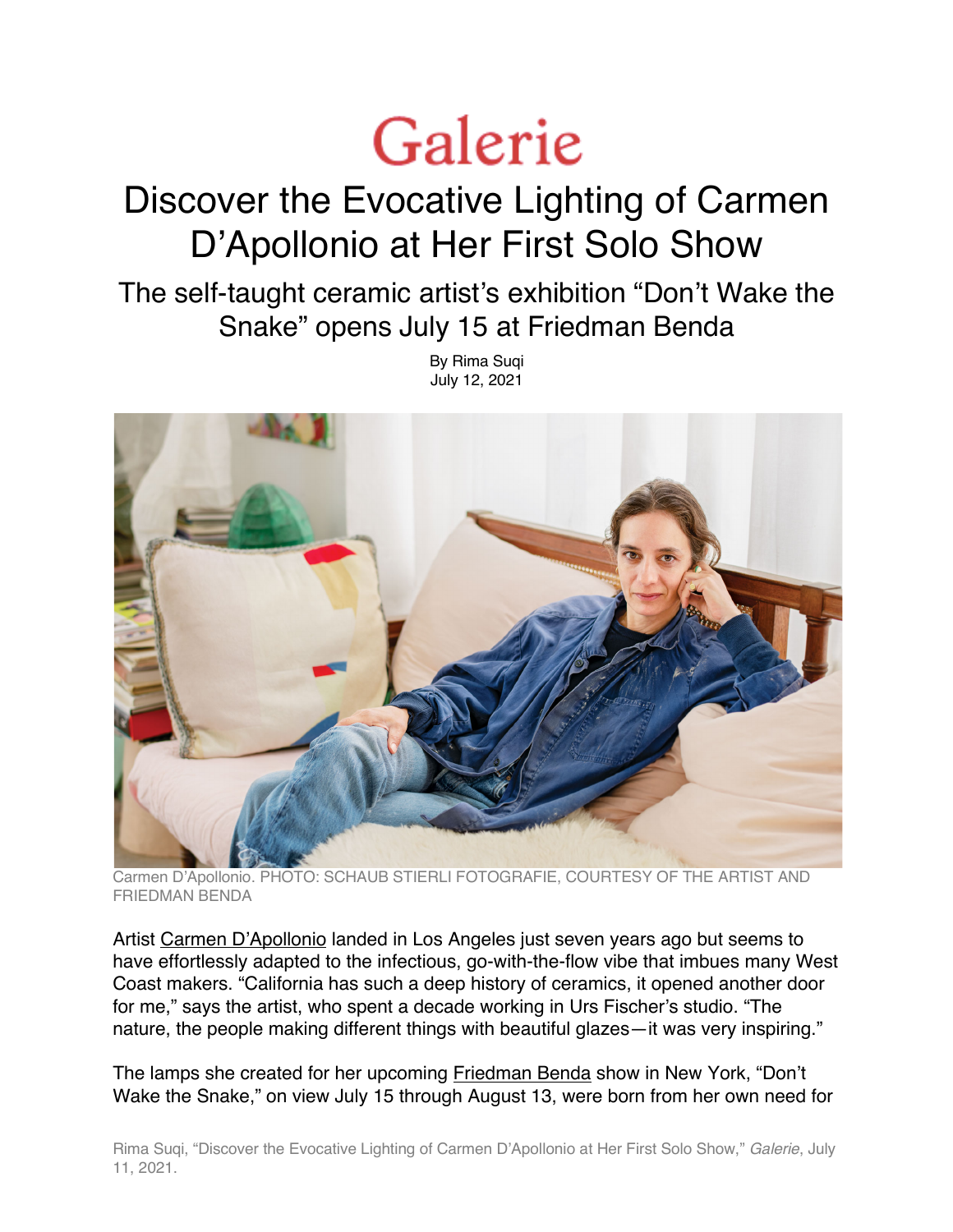## Galerie

## Discover the Evocative Lighting of Carmen D'Apollonio at Her First Solo Show

The self-taught ceramic artist's exhibition "Don't Wake the Snake" opens July 15 at Friedman Benda

> By Rima Suqi July 12, 2021



Carmen D'Apollonio. PHOTO: SCHAUB STIERLI FOTOGRAFIE, COURTESY OF THE ARTIST AND FRIEDMAN BENDA

Artist Carmen D'Apollonio landed in Los Angeles just seven years ago but seems to have effortlessly adapted to the infectious, go-with-the-flow vibe that imbues many West Coast makers. "California has such a deep history of ceramics, it opened another door for me," says the artist, who spent a decade working in Urs Fischer's studio. "The nature, the people making different things with beautiful glazes—it was very inspiring."

The lamps she created for her upcoming Friedman Benda show in New York, "Don't Wake the Snake," on view July 15 through August 13, were born from her own need for